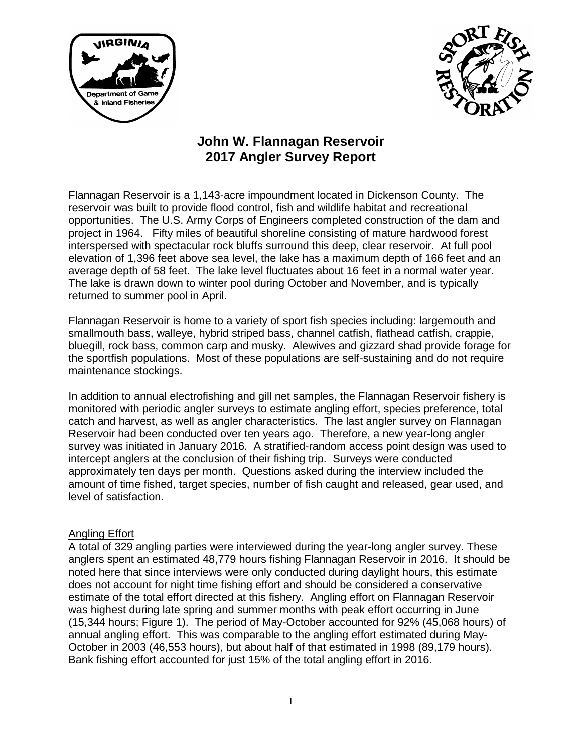



## **John W. Flannagan Reservoir 2017 Angler Survey Report**

Flannagan Reservoir is a 1,143-acre impoundment located in Dickenson County. The reservoir was built to provide flood control, fish and wildlife habitat and recreational opportunities. The U.S. Army Corps of Engineers completed construction of the dam and project in 1964. Fifty miles of beautiful shoreline consisting of mature hardwood forest interspersed with spectacular rock bluffs surround this deep, clear reservoir. At full pool elevation of 1,396 feet above sea level, the lake has a maximum depth of 166 feet and an average depth of 58 feet. The lake level fluctuates about 16 feet in a normal water year. The lake is drawn down to winter pool during October and November, and is typically returned to summer pool in April.

Flannagan Reservoir is home to a variety of sport fish species including: largemouth and smallmouth bass, walleye, hybrid striped bass, channel catfish, flathead catfish, crappie, bluegill, rock bass, common carp and musky. Alewives and gizzard shad provide forage for the sportfish populations. Most of these populations are self-sustaining and do not require maintenance stockings.

In addition to annual electrofishing and gill net samples, the Flannagan Reservoir fishery is monitored with periodic angler surveys to estimate angling effort, species preference, total catch and harvest, as well as angler characteristics. The last angler survey on Flannagan Reservoir had been conducted over ten years ago. Therefore, a new year-long angler survey was initiated in January 2016. A stratified-random access point design was used to intercept anglers at the conclusion of their fishing trip. Surveys were conducted approximately ten days per month. Questions asked during the interview included the amount of time fished, target species, number of fish caught and released, gear used, and level of satisfaction.

## Angling Effort

A total of 329 angling parties were interviewed during the year-long angler survey. These anglers spent an estimated 48,779 hours fishing Flannagan Reservoir in 2016. It should be noted here that since interviews were only conducted during daylight hours, this estimate does not account for night time fishing effort and should be considered a conservative estimate of the total effort directed at this fishery. Angling effort on Flannagan Reservoir was highest during late spring and summer months with peak effort occurring in June (15,344 hours; Figure 1). The period of May-October accounted for 92% (45,068 hours) of annual angling effort. This was comparable to the angling effort estimated during May-October in 2003 (46,553 hours), but about half of that estimated in 1998 (89,179 hours). Bank fishing effort accounted for just 15% of the total angling effort in 2016.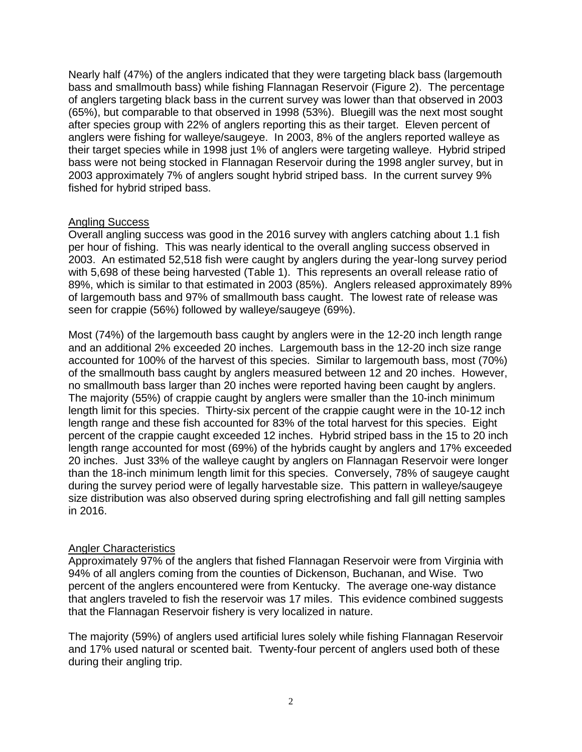Nearly half (47%) of the anglers indicated that they were targeting black bass (largemouth bass and smallmouth bass) while fishing Flannagan Reservoir (Figure 2). The percentage of anglers targeting black bass in the current survey was lower than that observed in 2003 (65%), but comparable to that observed in 1998 (53%). Bluegill was the next most sought after species group with 22% of anglers reporting this as their target. Eleven percent of anglers were fishing for walleye/saugeye. In 2003, 8% of the anglers reported walleye as their target species while in 1998 just 1% of anglers were targeting walleye. Hybrid striped bass were not being stocked in Flannagan Reservoir during the 1998 angler survey, but in 2003 approximately 7% of anglers sought hybrid striped bass. In the current survey 9% fished for hybrid striped bass.

## Angling Success

Overall angling success was good in the 2016 survey with anglers catching about 1.1 fish per hour of fishing. This was nearly identical to the overall angling success observed in 2003. An estimated 52,518 fish were caught by anglers during the year-long survey period with 5,698 of these being harvested (Table 1). This represents an overall release ratio of 89%, which is similar to that estimated in 2003 (85%). Anglers released approximately 89% of largemouth bass and 97% of smallmouth bass caught. The lowest rate of release was seen for crappie (56%) followed by walleye/saugeye (69%).

Most (74%) of the largemouth bass caught by anglers were in the 12-20 inch length range and an additional 2% exceeded 20 inches. Largemouth bass in the 12-20 inch size range accounted for 100% of the harvest of this species. Similar to largemouth bass, most (70%) of the smallmouth bass caught by anglers measured between 12 and 20 inches. However, no smallmouth bass larger than 20 inches were reported having been caught by anglers. The majority (55%) of crappie caught by anglers were smaller than the 10-inch minimum length limit for this species. Thirty-six percent of the crappie caught were in the 10-12 inch length range and these fish accounted for 83% of the total harvest for this species. Eight percent of the crappie caught exceeded 12 inches. Hybrid striped bass in the 15 to 20 inch length range accounted for most (69%) of the hybrids caught by anglers and 17% exceeded 20 inches. Just 33% of the walleye caught by anglers on Flannagan Reservoir were longer than the 18-inch minimum length limit for this species. Conversely, 78% of saugeye caught during the survey period were of legally harvestable size. This pattern in walleye/saugeye size distribution was also observed during spring electrofishing and fall gill netting samples in 2016.

## Angler Characteristics

Approximately 97% of the anglers that fished Flannagan Reservoir were from Virginia with 94% of all anglers coming from the counties of Dickenson, Buchanan, and Wise. Two percent of the anglers encountered were from Kentucky. The average one-way distance that anglers traveled to fish the reservoir was 17 miles. This evidence combined suggests that the Flannagan Reservoir fishery is very localized in nature.

The majority (59%) of anglers used artificial lures solely while fishing Flannagan Reservoir and 17% used natural or scented bait. Twenty-four percent of anglers used both of these during their angling trip.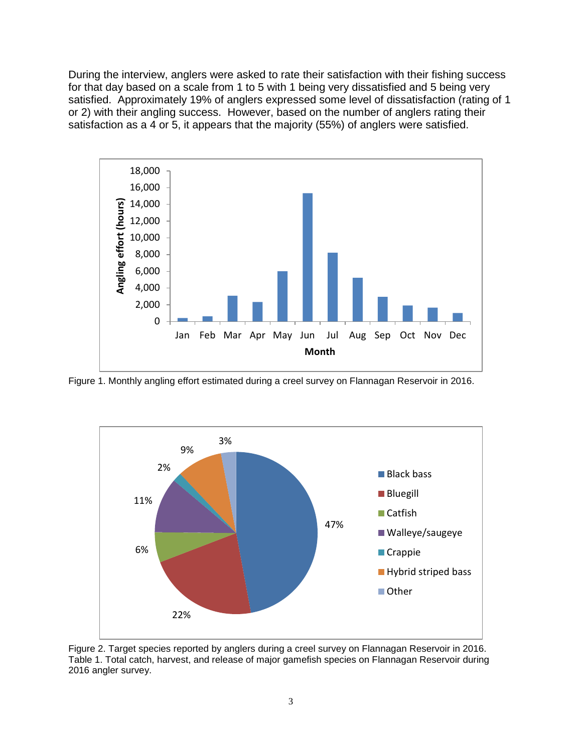During the interview, anglers were asked to rate their satisfaction with their fishing success for that day based on a scale from 1 to 5 with 1 being very dissatisfied and 5 being very satisfied. Approximately 19% of anglers expressed some level of dissatisfaction (rating of 1 or 2) with their angling success. However, based on the number of anglers rating their satisfaction as a 4 or 5, it appears that the majority (55%) of anglers were satisfied.



Figure 1. Monthly angling effort estimated during a creel survey on Flannagan Reservoir in 2016.



Figure 2. Target species reported by anglers during a creel survey on Flannagan Reservoir in 2016. Table 1. Total catch, harvest, and release of major gamefish species on Flannagan Reservoir during 2016 angler survey.